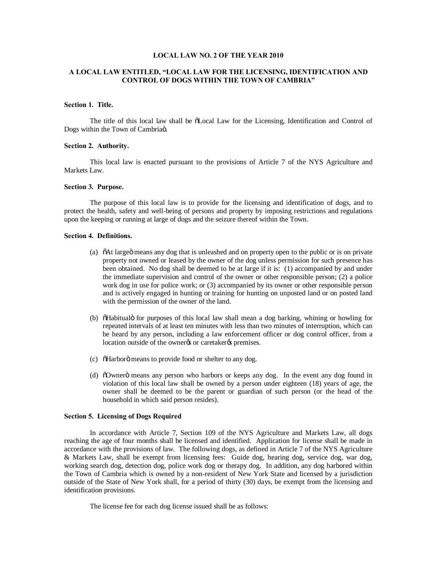# **LOCAL LAW NO. 2 OF THE YEAR 2010**

# **A LOCAL LAW ENTITLED, "LOCAL LAW FOR THE LICENSING, IDENTIFICATION AND CONTROL OF DOGS WITHIN THE TOWN OF CAMBRIA"**

### **Section 1. Title.**

The title of this local law shall be  $\delta$ Local Law for the Licensing, Identification and Control of Dogs within the Town of Cambriaö.

### **Section 2. Authority.**

This local law is enacted pursuant to the provisions of Article 7 of the NYS Agriculture and Markets Law.

### **Section 3. Purpose.**

The purpose of this local law is to provide for the licensing and identification of dogs, and to protect the health, safety and well-being of persons and property by imposing restrictions and regulations upon the keeping or running at large of dogs and the seizure thereof within the Town.

# **Section 4. Definitions.**

- (a) "At large means any dog that is unleashed and on property open to the public or is on private property not owned or leased by the owner of the dog unless permission for such presence has been obtained. No dog shall be deemed to be at large if it is: (1) accompanied by and under the immediate supervision and control of the owner or other responsible person; (2) a police work dog in use for police work; or (3) accompanied by its owner or other responsible person and is actively engaged in hunting or training for hunting on unposted land or on posted land with the permission of the owner of the land.
- (b)  $\delta$ Habitualo for purposes of this local law shall mean a dog barking, whining or howling for repeated intervals of at least ten minutes with less than two minutes of interruption, which can be heard by any person, including a law enforcement officer or dog control officer, from a location outside of the owner% or caretaker% premises.
- (c) "  $\delta$ Harboro" means to provide food or shelter to any dog.
- (d)  $\delta$ Ownerö means any person who harbors or keeps any dog. In the event any dog found in violation of this local law shall be owned by a person under eighteen (18) years of age, the owner shall be deemed to be the parent or guardian of such person (or the head of the household in which said person resides).

# **Section 5. Licensing of Dogs Required**

In accordance with Article 7, Section 109 of the NYS Agriculture and Markets Law, all dogs reaching the age of four months shall be licensed and identified. Application for license shall be made in accordance with the provisions of law. The following dogs, as defined in Article 7 of the NYS Agriculture & Markets Law, shall be exempt from licensing fees: Guide dog, hearing dog, service dog, war dog, working search dog, detection dog, police work dog or therapy dog. In addition, any dog harbored within the Town of Cambria which is owned by a non-resident of New York State and licensed by a jurisdiction outside of the State of New York shall, for a period of thirty (30) days, be exempt from the licensing and identification provisions.

The license fee for each dog license issued shall be as follows: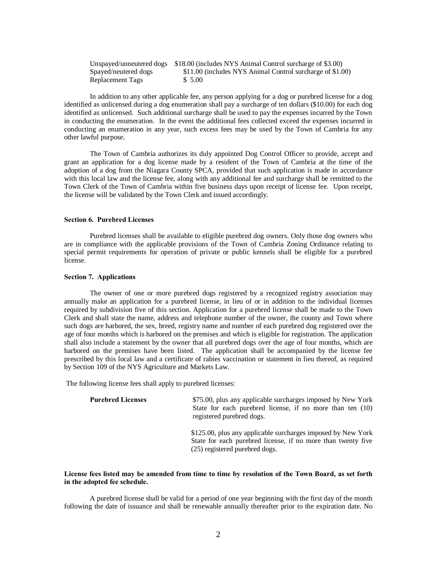|                      | Unspayed/unneutered dogs \$18.00 (includes NYS Animal Control surcharge of \$3.00) |
|----------------------|------------------------------------------------------------------------------------|
| Spayed/neutered dogs | \$11.00 (includes NYS Animal Control surcharge of \$1.00)                          |
| Replacement Tags     | \$5.00                                                                             |

In addition to any other applicable fee, any person applying for a dog or purebred license for a dog identified as unlicensed during a dog enumeration shall pay a surcharge of ten dollars (\$10.00) for each dog identified as unlicensed. Such additional surcharge shall be used to pay the expenses incurred by the Town in conducting the enumeration. In the event the additional fees collected exceed the expenses incurred in conducting an enumeration in any year, such excess fees may be used by the Town of Cambria for any other lawful purpose.

The Town of Cambria authorizes its duly appointed Dog Control Officer to provide, accept and grant an application for a dog license made by a resident of the Town of Cambria at the time of the adoption of a dog from the Niagara County SPCA, provided that such application is made in accordance with this local law and the license fee, along with any additional fee and surcharge shall be remitted to the Town Clerk of the Town of Cambria within five business days upon receipt of license fee. Upon receipt, the license will be validated by the Town Clerk and issued accordingly.

# **Section 6. Purebred Licenses**

Purebred licenses shall be available to eligible purebred dog owners. Only those dog owners who are in compliance with the applicable provisions of the Town of Cambria Zoning Ordinance relating to special permit requirements for operation of private or public kennels shall be eligible for a purebred license.

#### **Section 7. Applications**

The owner of one or more purebred dogs registered by a recognized registry association may annually make an application for a purebred license, in lieu of or in addition to the individual licenses required by subdivision five of this section. Application for a purebred license shall be made to the Town Clerk and shall state the name, address and telephone number of the owner, the county and Town where such dogs are harbored, the sex, breed, registry name and number of each purebred dog registered over the age of four months which is harbored on the premises and which is eligible for registration. The application shall also include a statement by the owner that all purebred dogs over the age of four months, which are harbored on the premises have been listed. The application shall be accompanied by the license fee prescribed by this local law and a certificate of rabies vaccination or statement in lieu thereof, as required by Section 109 of the NYS Agriculture and Markets Law.

The following license fees shall apply to purebred licenses:

| <b>Purebred Licenses</b> | \$75.00, plus any applicable surcharges imposed by New York<br>State for each purebred license, if no more than ten (10)<br>registered purebred dogs.          |
|--------------------------|----------------------------------------------------------------------------------------------------------------------------------------------------------------|
|                          | \$125.00, plus any applicable surcharges imposed by New York<br>State for each purebred license, if no more than twenty five<br>(25) registered purebred dogs. |

### **License fees listed may be amended from time to time by resolution of the Town Board, as set forth in the adopted fee schedule.**

A purebred license shall be valid for a period of one year beginning with the first day of the month following the date of issuance and shall be renewable annually thereafter prior to the expiration date. No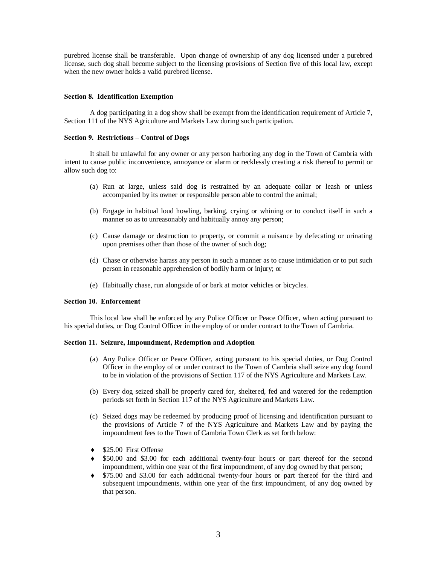purebred license shall be transferable. Upon change of ownership of any dog licensed under a purebred license, such dog shall become subject to the licensing provisions of Section five of this local law, except when the new owner holds a valid purebred license.

### **Section 8. Identification Exemption**

A dog participating in a dog show shall be exempt from the identification requirement of Article 7, Section 111 of the NYS Agriculture and Markets Law during such participation.

#### **Section 9. Restrictions – Control of Dogs**

It shall be unlawful for any owner or any person harboring any dog in the Town of Cambria with intent to cause public inconvenience, annoyance or alarm or recklessly creating a risk thereof to permit or allow such dog to:

- (a) Run at large, unless said dog is restrained by an adequate collar or leash or unless accompanied by its owner or responsible person able to control the animal;
- (b) Engage in habitual loud howling, barking, crying or whining or to conduct itself in such a manner so as to unreasonably and habitually annoy any person;
- (c) Cause damage or destruction to property, or commit a nuisance by defecating or urinating upon premises other than those of the owner of such dog;
- (d) Chase or otherwise harass any person in such a manner as to cause intimidation or to put such person in reasonable apprehension of bodily harm or injury; or
- (e) Habitually chase, run alongside of or bark at motor vehicles or bicycles.

# **Section 10. Enforcement**

This local law shall be enforced by any Police Officer or Peace Officer, when acting pursuant to his special duties, or Dog Control Officer in the employ of or under contract to the Town of Cambria.

#### **Section 11. Seizure, Impoundment, Redemption and Adoption**

- (a) Any Police Officer or Peace Officer, acting pursuant to his special duties, or Dog Control Officer in the employ of or under contract to the Town of Cambria shall seize any dog found to be in violation of the provisions of Section 117 of the NYS Agriculture and Markets Law.
- (b) Every dog seized shall be properly cared for, sheltered, fed and watered for the redemption periods set forth in Section 117 of the NYS Agriculture and Markets Law.
- (c) Seized dogs may be redeemed by producing proof of licensing and identification pursuant to the provisions of Article 7 of the NYS Agriculture and Markets Law and by paying the impoundment fees to the Town of Cambria Town Clerk as set forth below:
- ◆ \$25.00 First Offense
- ® \$50.00 and \$3.00 for each additional twenty-four hours or part thereof for the second impoundment, within one year of the first impoundment, of any dog owned by that person;
- ® \$75.00 and \$3.00 for each additional twenty-four hours or part thereof for the third and subsequent impoundments, within one year of the first impoundment, of any dog owned by that person.